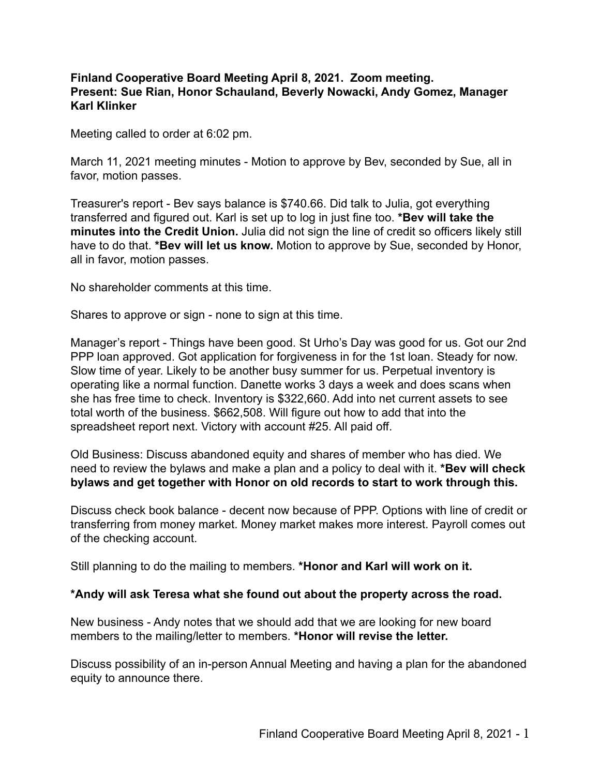## **Finland Cooperative Board Meeting April 8, 2021. Zoom meeting. Present: Sue Rian, Honor Schauland, Beverly Nowacki, Andy Gomez, Manager Karl Klinker**

Meeting called to order at 6:02 pm.

March 11, 2021 meeting minutes - Motion to approve by Bev, seconded by Sue, all in favor, motion passes.

Treasurer's report - Bev says balance is \$740.66. Did talk to Julia, got everything transferred and figured out. Karl is set up to log in just fine too. **\*Bev will take the minutes into the Credit Union.** Julia did not sign the line of credit so officers likely still have to do that. **\*Bev will let us know.** Motion to approve by Sue, seconded by Honor, all in favor, motion passes.

No shareholder comments at this time.

Shares to approve or sign - none to sign at this time.

Manager's report - Things have been good. St Urho's Day was good for us. Got our 2nd PPP loan approved. Got application for forgiveness in for the 1st loan. Steady for now. Slow time of year. Likely to be another busy summer for us. Perpetual inventory is operating like a normal function. Danette works 3 days a week and does scans when she has free time to check. Inventory is \$322,660. Add into net current assets to see total worth of the business. \$662,508. Will figure out how to add that into the spreadsheet report next. Victory with account #25. All paid off.

Old Business: Discuss abandoned equity and shares of member who has died. We need to review the bylaws and make a plan and a policy to deal with it. **\*Bev will check bylaws and get together with Honor on old records to start to work through this.**

Discuss check book balance - decent now because of PPP. Options with line of credit or transferring from money market. Money market makes more interest. Payroll comes out of the checking account.

Still planning to do the mailing to members. **\*Honor and Karl will work on it.**

## **\*Andy will ask Teresa what she found out about the property across the road.**

New business - Andy notes that we should add that we are looking for new board members to the mailing/letter to members. **\*Honor will revise the letter.**

Discuss possibility of an in-person Annual Meeting and having a plan for the abandoned equity to announce there.